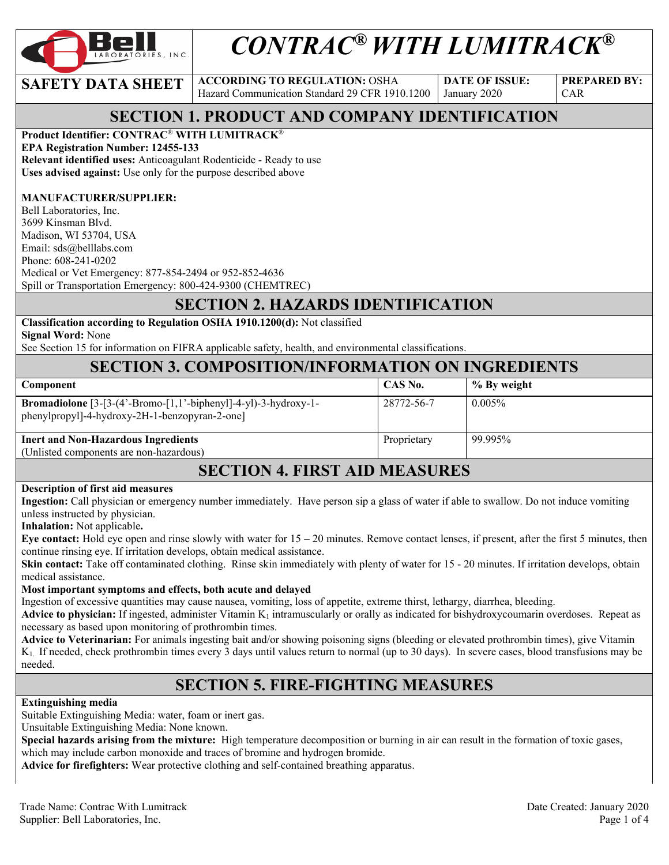

# *CONTRAC® WITH LUMITRACK®*

**SAFETY DATA SHEET ACCORDING TO REGULATION: OSHA** Hazard Communication Standard 29 CFR 1910.1200

**DATE OF ISSUE:**  January 2020

**PREPARED BY:**  CAR

# **SECTION 1. PRODUCT AND COMPANY IDENTIFICATION**

### **Product Identifier: CONTRAC**® **WITH LUMITRACK**®

**EPA Registration Number: 12455-133** 

**Relevant identified uses:** Anticoagulant Rodenticide - Ready to use **Uses advised against:** Use only for the purpose described above

### **MANUFACTURER/SUPPLIER:**

Bell Laboratories, Inc. 3699 Kinsman Blvd. Madison, WI 53704, USA Email: sds@belllabs.com Phone: 608-241-0202 Medical or Vet Emergency: 877-854-2494 or 952-852-4636 Spill or Transportation Emergency: 800-424-9300 (CHEMTREC)

# **SECTION 2. HAZARDS IDENTIFICATION**

**Classification according to Regulation OSHA 1910.1200(d):** Not classified **Signal Word:** None

See Section 15 for information on FIFRA applicable safety, health, and environmental classifications.

### **SECTION 3. COMPOSITION/INFORMATION ON INGREDIENTS**

| <b>Component</b>                                                                                                      | CAS No.     | % By weight |
|-----------------------------------------------------------------------------------------------------------------------|-------------|-------------|
| <b>Bromadiolone</b> $[3-(4'-Bromo-[1,1'-bipheny]-4-y]-3-hydroxy-1-$<br>phenylpropyl]-4-hydroxy-2H-1-benzopyran-2-one] | 28772-56-7  | $0.005\%$   |
| <b>Inert and Non-Hazardous Ingredients</b><br>(Unlisted components are non-hazardous)                                 | Proprietary | 99.995%     |

### **SECTION 4. FIRST AID MEASURES**

#### **Description of first aid measures**

**Ingestion:** Call physician or emergency number immediately. Have person sip a glass of water if able to swallow. Do not induce vomiting unless instructed by physician.

**Inhalation:** Not applicable**.** 

**Eye contact:** Hold eye open and rinse slowly with water for 15 – 20 minutes. Remove contact lenses, if present, after the first 5 minutes, then continue rinsing eye. If irritation develops, obtain medical assistance.

**Skin contact:** Take off contaminated clothing. Rinse skin immediately with plenty of water for 15 - 20 minutes. If irritation develops, obtain medical assistance.

#### **Most important symptoms and effects, both acute and delayed**

Ingestion of excessive quantities may cause nausea, vomiting, loss of appetite, extreme thirst, lethargy, diarrhea, bleeding.

**Advice to physician:** If ingested, administer Vitamin  $K_1$  intramuscularly or orally as indicated for bishydroxycoumarin overdoses. Repeat as necessary as based upon monitoring of prothrombin times.

**Advice to Veterinarian:** For animals ingesting bait and/or showing poisoning signs (bleeding or elevated prothrombin times), give Vitamin K1. If needed, check prothrombin times every 3 days until values return to normal (up to 30 days). In severe cases, blood transfusions may be needed.

### **SECTION 5. FIRE-FIGHTING MEASURES**

### **Extinguishing media**

Suitable Extinguishing Media: water, foam or inert gas.

Unsuitable Extinguishing Media: None known.

**Special hazards arising from the mixture:** High temperature decomposition or burning in air can result in the formation of toxic gases, which may include carbon monoxide and traces of bromine and hydrogen bromide.

**Advice for firefighters:** Wear protective clothing and self-contained breathing apparatus.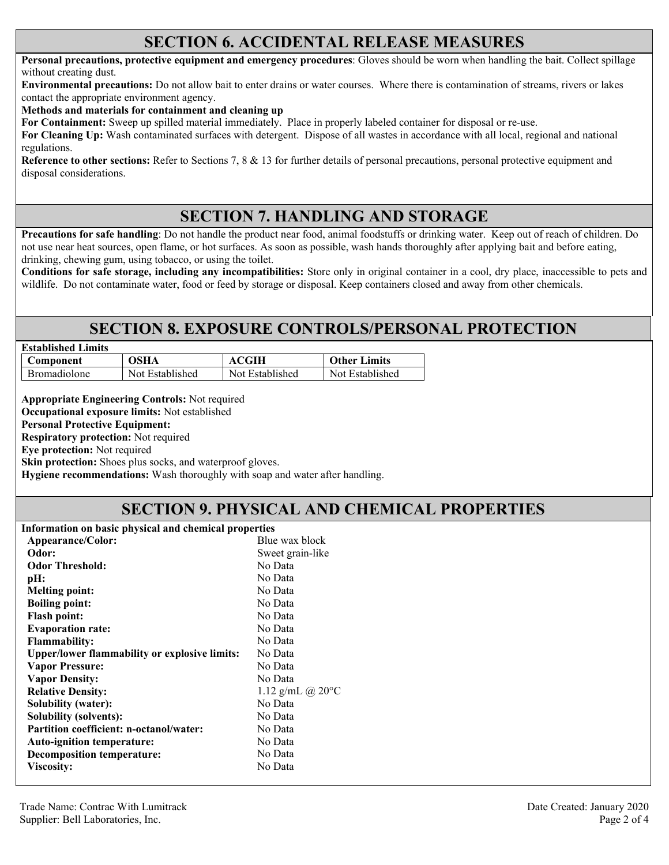### **SECTION 6. ACCIDENTAL RELEASE MEASURES**

**Personal precautions, protective equipment and emergency procedures**: Gloves should be worn when handling the bait. Collect spillage without creating dust.

**Environmental precautions:** Do not allow bait to enter drains or water courses. Where there is contamination of streams, rivers or lakes contact the appropriate environment agency.

**Methods and materials for containment and cleaning up**

**For Containment:** Sweep up spilled material immediately. Place in properly labeled container for disposal or re-use.

**For Cleaning Up:** Wash contaminated surfaces with detergent. Dispose of all wastes in accordance with all local, regional and national regulations.

**Reference to other sections:** Refer to Sections 7, 8 & 13 for further details of personal precautions, personal protective equipment and disposal considerations.

# **SECTION 7. HANDLING AND STORAGE**

**Precautions for safe handling**: Do not handle the product near food, animal foodstuffs or drinking water. Keep out of reach of children. Do not use near heat sources, open flame, or hot surfaces. As soon as possible, wash hands thoroughly after applying bait and before eating, drinking, chewing gum, using tobacco, or using the toilet.

**Conditions for safe storage, including any incompatibilities:** Store only in original container in a cool, dry place, inaccessible to pets and wildlife. Do not contaminate water, food or feed by storage or disposal. Keep containers closed and away from other chemicals.

# **SECTION 8. EXPOSURE CONTROLS/PERSONAL PROTECTION**

| <b>Established Limits</b> |                 |                 |                     |
|---------------------------|-----------------|-----------------|---------------------|
| Component                 | OSHA            | ACGIH           | <b>Other Limits</b> |
| <b>Bromadiolone</b>       | Not Established | Not Established | Not Established     |

**Appropriate Engineering Controls:** Not required

**Occupational exposure limits:** Not established

**Personal Protective Equipment:** 

**Respiratory protection:** Not required

**Eye protection:** Not required

**Skin protection:** Shoes plus socks, and waterproof gloves.

**Hygiene recommendations:** Wash thoroughly with soap and water after handling.

# **SECTION 9. PHYSICAL AND CHEMICAL PROPERTIES**

| Blue wax block<br>Appearance/Color:<br>Sweet grain-like<br>Odor:<br><b>Odor Threshold:</b><br>No Data<br>No Data<br>pH:<br>No Data<br><b>Melting point:</b><br>No Data<br><b>Boiling point:</b><br>No Data<br><b>Flash point:</b><br>No Data<br><b>Evaporation rate:</b><br>No Data<br><b>Flammability:</b><br>No Data<br><b>Upper/lower flammability or explosive limits:</b><br>No Data<br><b>Vapor Pressure:</b><br><b>Vapor Density:</b><br>No Data<br><b>Relative Density:</b><br>No Data<br><b>Solubility (water):</b><br>No Data<br>Solubility (solvents):<br>No Data<br>Partition coefficient: n-octanol/water:<br>No Data<br>Auto-ignition temperature:<br>No Data<br><b>Decomposition temperature:</b><br>No Data<br>Viscosity: | Information on basic physical and chemical properties |                            |  |
|-------------------------------------------------------------------------------------------------------------------------------------------------------------------------------------------------------------------------------------------------------------------------------------------------------------------------------------------------------------------------------------------------------------------------------------------------------------------------------------------------------------------------------------------------------------------------------------------------------------------------------------------------------------------------------------------------------------------------------------------|-------------------------------------------------------|----------------------------|--|
|                                                                                                                                                                                                                                                                                                                                                                                                                                                                                                                                                                                                                                                                                                                                           |                                                       |                            |  |
|                                                                                                                                                                                                                                                                                                                                                                                                                                                                                                                                                                                                                                                                                                                                           |                                                       |                            |  |
|                                                                                                                                                                                                                                                                                                                                                                                                                                                                                                                                                                                                                                                                                                                                           |                                                       |                            |  |
|                                                                                                                                                                                                                                                                                                                                                                                                                                                                                                                                                                                                                                                                                                                                           |                                                       |                            |  |
|                                                                                                                                                                                                                                                                                                                                                                                                                                                                                                                                                                                                                                                                                                                                           |                                                       |                            |  |
|                                                                                                                                                                                                                                                                                                                                                                                                                                                                                                                                                                                                                                                                                                                                           |                                                       |                            |  |
|                                                                                                                                                                                                                                                                                                                                                                                                                                                                                                                                                                                                                                                                                                                                           |                                                       |                            |  |
|                                                                                                                                                                                                                                                                                                                                                                                                                                                                                                                                                                                                                                                                                                                                           |                                                       |                            |  |
|                                                                                                                                                                                                                                                                                                                                                                                                                                                                                                                                                                                                                                                                                                                                           |                                                       |                            |  |
|                                                                                                                                                                                                                                                                                                                                                                                                                                                                                                                                                                                                                                                                                                                                           |                                                       |                            |  |
|                                                                                                                                                                                                                                                                                                                                                                                                                                                                                                                                                                                                                                                                                                                                           |                                                       |                            |  |
|                                                                                                                                                                                                                                                                                                                                                                                                                                                                                                                                                                                                                                                                                                                                           |                                                       |                            |  |
|                                                                                                                                                                                                                                                                                                                                                                                                                                                                                                                                                                                                                                                                                                                                           |                                                       | 1.12 g/mL @ $20^{\circ}$ C |  |
|                                                                                                                                                                                                                                                                                                                                                                                                                                                                                                                                                                                                                                                                                                                                           |                                                       |                            |  |
|                                                                                                                                                                                                                                                                                                                                                                                                                                                                                                                                                                                                                                                                                                                                           |                                                       |                            |  |
|                                                                                                                                                                                                                                                                                                                                                                                                                                                                                                                                                                                                                                                                                                                                           |                                                       |                            |  |
|                                                                                                                                                                                                                                                                                                                                                                                                                                                                                                                                                                                                                                                                                                                                           |                                                       |                            |  |
|                                                                                                                                                                                                                                                                                                                                                                                                                                                                                                                                                                                                                                                                                                                                           |                                                       |                            |  |
|                                                                                                                                                                                                                                                                                                                                                                                                                                                                                                                                                                                                                                                                                                                                           |                                                       |                            |  |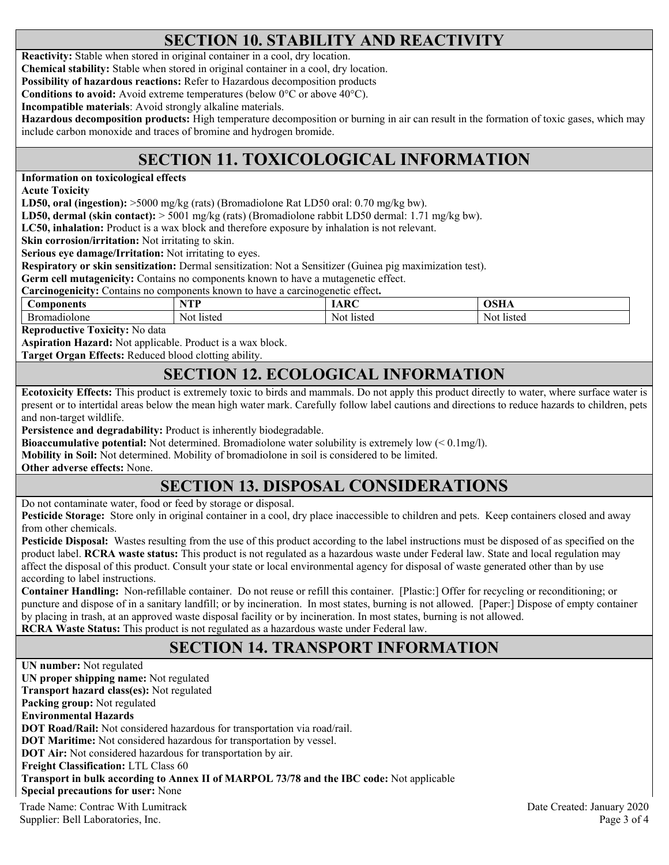# **SECTION 10. STABILITY AND REACTIVITY**

**Reactivity:** Stable when stored in original container in a cool, dry location.

**Chemical stability:** Stable when stored in original container in a cool, dry location.

**Possibility of hazardous reactions:** Refer to Hazardous decomposition products

**Conditions to avoid:** Avoid extreme temperatures (below 0°C or above 40°C).

**Incompatible materials**: Avoid strongly alkaline materials.

**Hazardous decomposition products:** High temperature decomposition or burning in air can result in the formation of toxic gases, which may include carbon monoxide and traces of bromine and hydrogen bromide.

# **SECTION 11. TOXICOLOGICAL INFORMATION**

**Information on toxicological effects** 

**Acute Toxicity** 

**LD50, oral (ingestion):** >5000 mg/kg (rats) (Bromadiolone Rat LD50 oral: 0.70 mg/kg bw).

**LD50, dermal (skin contact):** > 5001 mg/kg (rats) (Bromadiolone rabbit LD50 dermal: 1.71 mg/kg bw).

**LC50, inhalation:** Product is a wax block and therefore exposure by inhalation is not relevant.

**Skin corrosion/irritation:** Not irritating to skin.

**Serious eye damage/Irritation:** Not irritating to eyes.

**Respiratory or skin sensitization:** Dermal sensitization: Not a Sensitizer (Guinea pig maximization test).

**Germ cell mutagenicity:** Contains no components known to have a mutagenetic effect.

**Carcinogenicity:** Contains no components known to have a carcinogenetic effect**.** 

| <b>Components</b> | VTT<br>. . | $\sim$ $\sim$ |        |
|-------------------|------------|---------------|--------|
| Бr                | listed     | `listeg       | Not    |
| nadiolone         | N01        | Not.          | listec |

**Reproductive Toxicity:** No data

**Aspiration Hazard:** Not applicable. Product is a wax block.

**Target Organ Effects:** Reduced blood clotting ability.

### **SECTION 12. ECOLOGICAL INFORMATION**

**Ecotoxicity Effects:** This product is extremely toxic to birds and mammals. Do not apply this product directly to water, where surface water is present or to intertidal areas below the mean high water mark. Carefully follow label cautions and directions to reduce hazards to children, pets and non-target wildlife.

**Persistence and degradability:** Product is inherently biodegradable.

**Bioaccumulative potential:** Not determined. Bromadiolone water solubility is extremely low (< 0.1mg/l).

**Mobility in Soil:** Not determined. Mobility of bromadiolone in soil is considered to be limited.

**Other adverse effects:** None.

# **SECTION 13. DISPOSAL CONSIDERATIONS**

Do not contaminate water, food or feed by storage or disposal.

**Pesticide Storage:** Store only in original container in a cool, dry place inaccessible to children and pets. Keep containers closed and away from other chemicals.

**Pesticide Disposal:** Wastes resulting from the use of this product according to the label instructions must be disposed of as specified on the product label. **RCRA waste status:** This product is not regulated as a hazardous waste under Federal law. State and local regulation may affect the disposal of this product. Consult your state or local environmental agency for disposal of waste generated other than by use according to label instructions.

**Container Handling:** Non-refillable container. Do not reuse or refill this container. [Plastic:] Offer for recycling or reconditioning; or puncture and dispose of in a sanitary landfill; or by incineration. In most states, burning is not allowed. [Paper:] Dispose of empty container by placing in trash, at an approved waste disposal facility or by incineration. In most states, burning is not allowed. **RCRA Waste Status:** This product is not regulated as a hazardous waste under Federal law.

# **SECTION 14. TRANSPORT INFORMATION**

Trade Name: Contrac With Lumitrack Date Created: January 2020 **UN number:** Not regulated **UN proper shipping name:** Not regulated **Transport hazard class(es):** Not regulated **Packing group:** Not regulated **Environmental Hazards DOT Road/Rail:** Not considered hazardous for transportation via road/rail. **DOT Maritime:** Not considered hazardous for transportation by vessel. **DOT Air:** Not considered hazardous for transportation by air. **Freight Classification:** LTL Class 60 **Transport in bulk according to Annex II of MARPOL 73/78 and the IBC code:** Not applicable **Special precautions for user:** None

Supplier: Bell Laboratories, Inc. 2008 and 2008 and 2008 and 2008 and 2008 and 2008 and 2008 and 2008 and 2008 and 2008 and 2008 and 2008 and 2008 and 2008 and 2008 and 2008 and 2008 and 2008 and 2008 and 2008 and 2008 and